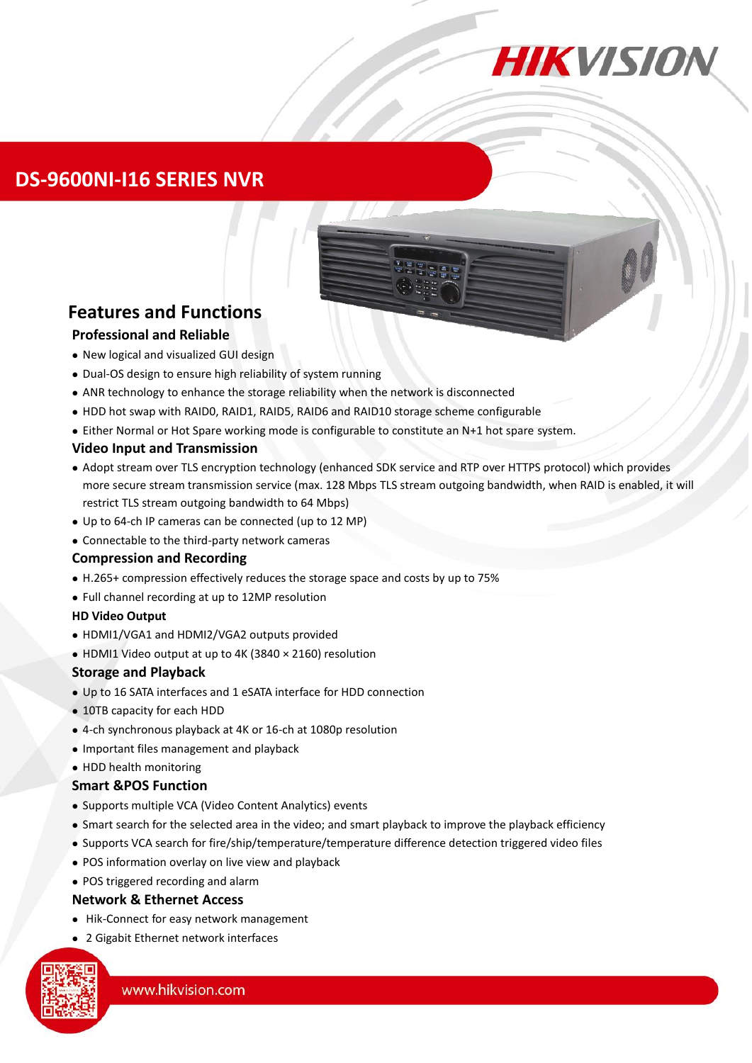

### **DS-9600NI-I16 SERIES NVR**

# **Features and Functions**

#### **Professional and Reliable**

- New logical and visualized GUI design
- Dual-OS design to ensure high reliability of system running
- ANR technology to enhance the storage reliability when the network is disconnected
- HDD hot swap with RAID0, RAID1, RAID5, RAID6 and RAID10 storage scheme configurable
- Either Normal or Hot Spare working mode is configurable to constitute an N+1 hot spare system.

#### **Video Input and Transmission**

- Adopt stream over TLS encryption technology (enhanced SDK service and RTP over HTTPS protocol) which provides more secure stream transmission service (max. 128 Mbps TLS stream outgoing bandwidth, when RAID is enabled, it will restrict TLS stream outgoing bandwidth to 64 Mbps)
- Up to 64-ch IP cameras can be connected (up to 12 MP)
- Connectable to the third-party network cameras

#### **Compression and Recording**

- H.265+ compression effectively reduces the storage space and costs by up to 75%
- Full channel recording at up to 12MP resolution

#### **HD Video Output**

- HDMI1/VGA1 and HDMI2/VGA2 outputs provided
- HDMI1 Video output at up to 4K (3840 × 2160) resolution

#### **Storage and Playback**

- Up to 16 SATA interfaces and 1 eSATA interface for HDD connection
- 10TB capacity for each HDD
- 4-ch synchronous playback at 4K or 16-ch at 1080p resolution
- Important files management and playback
- HDD health monitoring

#### **Smart &POS Function**

- Supports multiple VCA (Video Content Analytics) events
- Smart search for the selected area in the video; and smart playback to improve the playback efficiency
- Supports VCA search for fire/ship/temperature/temperature difference detection triggered video files
- POS information overlay on live view and playback
- POS triggered recording and alarm

#### **Network & Ethernet Access**

- Hik-Connect for easy network management
- 2 Gigabit Ethernet network interfaces

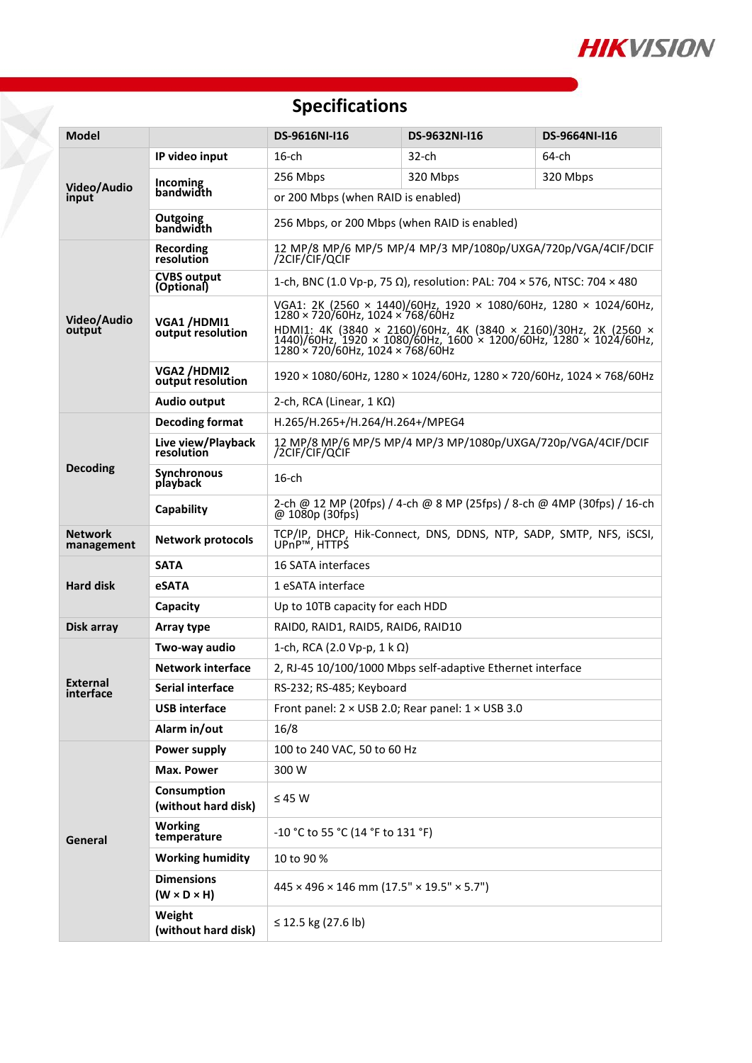

## **Specifications**

Õ

| <b>Model</b>                        |                                              | DS-9616NI-I16                                                                                                                                                                                                                                                                               | DS-9632NI-I16 | DS-9664NI-I16 |  |  |
|-------------------------------------|----------------------------------------------|---------------------------------------------------------------------------------------------------------------------------------------------------------------------------------------------------------------------------------------------------------------------------------------------|---------------|---------------|--|--|
| Video/Audio<br>input                | IP video input                               | $16$ -ch                                                                                                                                                                                                                                                                                    | 32-ch         | 64-ch         |  |  |
|                                     | <b>Incoming</b><br>bandwidth                 | 256 Mbps                                                                                                                                                                                                                                                                                    | 320 Mbps      | 320 Mbps      |  |  |
|                                     |                                              | or 200 Mbps (when RAID is enabled)                                                                                                                                                                                                                                                          |               |               |  |  |
|                                     | Outgoing<br>bandwidth                        | 256 Mbps, or 200 Mbps (when RAID is enabled)                                                                                                                                                                                                                                                |               |               |  |  |
| Video/Audio<br>output               | Recording<br>resolution                      | 12 MP/8 MP/6 MP/5 MP/4 MP/3 MP/1080p/UXGA/720p/VGA/4CIF/DCIF<br>/2CIF/CIF/QCIF                                                                                                                                                                                                              |               |               |  |  |
|                                     | <b>CVBS output</b><br>(Optional)             | 1-ch, BNC (1.0 Vp-p, 75 Ω), resolution: PAL: 704 × 576, NTSC: 704 × 480                                                                                                                                                                                                                     |               |               |  |  |
|                                     | VGA1/HDMI1<br>output resolution              | VGA1: 2K (2560 × 1440)/60Hz, 1920 × 1080/60Hz, 1280 × 1024/60Hz,<br>$1280 \times 720/60$ Hz, 1024 $\times 768/60$ Hz<br>HDMI1: 4K (3840 × 2160)/60Hz, 4K (3840 × 2160)/30Hz, 2K (2560 × 1440)/60Hz, 1920 × 1080/60Hz, 1600 × 1200/60Hz,<br>$1280 \times 720/60$ Hz, $1024 \times 768/60$ Hz |               |               |  |  |
|                                     | VGA2/HDMI2<br>output resolution              | $1920 \times 1080/60$ Hz, $1280 \times 1024/60$ Hz, $1280 \times 720/60$ Hz, $1024 \times 768/60$ Hz                                                                                                                                                                                        |               |               |  |  |
|                                     | Audio output                                 | 2-ch, RCA (Linear, $1 K\Omega$ )                                                                                                                                                                                                                                                            |               |               |  |  |
| <b>Decoding</b>                     | <b>Decoding format</b>                       | H.265/H.265+/H.264/H.264+/MPEG4                                                                                                                                                                                                                                                             |               |               |  |  |
|                                     | Live view/Playback<br>resolution             | 12 MP/8 MP/6 MP/5 MP/4 MP/3 MP/1080p/UXGA/720p/VGA/4CIF/DCIF<br>/2CIF/CIF/QCIF                                                                                                                                                                                                              |               |               |  |  |
|                                     | <b>Synchronous</b><br>playback               | $16$ -ch                                                                                                                                                                                                                                                                                    |               |               |  |  |
|                                     | Capability                                   | 2-ch @ 12 MP (20fps) / 4-ch @ 8 MP (25fps) / 8-ch @ 4MP (30fps) / 16-ch<br>@1080p(30fps)                                                                                                                                                                                                    |               |               |  |  |
| <b>Network</b><br>management        | <b>Network protocols</b>                     | TCP/IP, DHCP, Hik-Connect, DNS, DDNS, NTP, SADP, SMTP, NFS, iSCSI,<br>UPnP™, HTTPS                                                                                                                                                                                                          |               |               |  |  |
|                                     | <b>SATA</b>                                  | 16 SATA interfaces                                                                                                                                                                                                                                                                          |               |               |  |  |
| <b>Hard disk</b>                    | <b>eSATA</b>                                 | 1 eSATA interface                                                                                                                                                                                                                                                                           |               |               |  |  |
|                                     | Capacity                                     | Up to 10TB capacity for each HDD                                                                                                                                                                                                                                                            |               |               |  |  |
| Disk array                          | Array type                                   | RAIDO, RAID1, RAID5, RAID6, RAID10                                                                                                                                                                                                                                                          |               |               |  |  |
| <b>External</b><br><b>interface</b> | Two-way audio                                | 1-ch, RCA (2.0 Vp-p, 1 k Ω)                                                                                                                                                                                                                                                                 |               |               |  |  |
|                                     | <b>Network interface</b>                     | 2, RJ-45 10/100/1000 Mbps self-adaptive Ethernet interface                                                                                                                                                                                                                                  |               |               |  |  |
|                                     | Serial interface                             | RS-232; RS-485; Keyboard                                                                                                                                                                                                                                                                    |               |               |  |  |
|                                     | USB interface                                | Front panel: $2 \times$ USB 2.0; Rear panel: $1 \times$ USB 3.0                                                                                                                                                                                                                             |               |               |  |  |
|                                     | Alarm in/out                                 | 16/8                                                                                                                                                                                                                                                                                        |               |               |  |  |
| General                             | Power supply                                 | 100 to 240 VAC, 50 to 60 Hz                                                                                                                                                                                                                                                                 |               |               |  |  |
|                                     | Max. Power                                   | 300 W                                                                                                                                                                                                                                                                                       |               |               |  |  |
|                                     | Consumption<br>(without hard disk)           | $\leq$ 45 W                                                                                                                                                                                                                                                                                 |               |               |  |  |
|                                     | <b>Working</b><br>temperature                | -10 °C to 55 °C (14 °F to 131 °F)                                                                                                                                                                                                                                                           |               |               |  |  |
|                                     | <b>Working humidity</b>                      | 10 to 90 %                                                                                                                                                                                                                                                                                  |               |               |  |  |
|                                     | <b>Dimensions</b><br>$(W \times D \times H)$ | $445 \times 496 \times 146$ mm $(17.5" \times 19.5" \times 5.7")$                                                                                                                                                                                                                           |               |               |  |  |
|                                     | Weight<br>(without hard disk)                | ≤ 12.5 kg (27.6 lb)                                                                                                                                                                                                                                                                         |               |               |  |  |